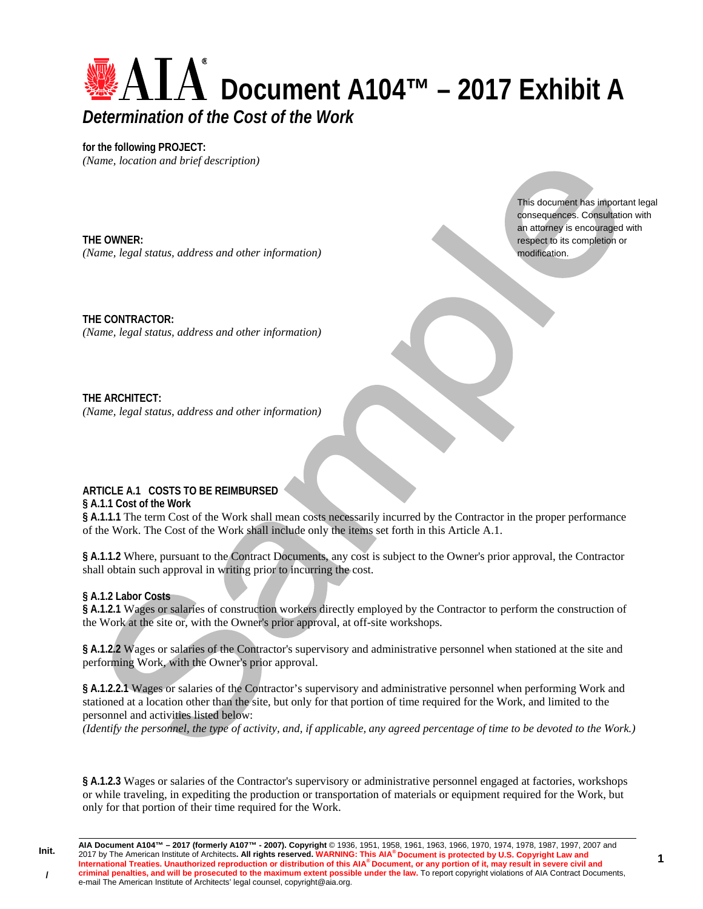# **Document A104™ – 2017 Exhibit A**  *Determination of the Cost of the Work*

**for the following PROJECT:**  *(Name, location and brief description)* 

**THE OWNER:**  *(Name, legal status, address and other information)*  This document has important legal consequences. Consultation with an attorney is encouraged with respect to its completion or modification.

**THE CONTRACTOR:**  *(Name, legal status, address and other information)* 

**THE ARCHITECT:**  *(Name, legal status, address and other information)* 

# **ARTICLE A.1 COSTS TO BE REIMBURSED**

**§ A.1.1 Cost of the Work**

§ A.1.1.1 The term Cost of the Work shall mean costs necessarily incurred by the Contractor in the proper performance of the Work. The Cost of the Work shall include only the items set forth in this Article A.1.

**§ A.1.1.2** Where, pursuant to the Contract Documents, any cost is subject to the Owner's prior approval, the Contractor shall obtain such approval in writing prior to incurring the cost.

#### **§ A.1.2 Labor Costs**

**Init.** 

**/**

**§ A.1.2.1** Wages or salaries of construction workers directly employed by the Contractor to perform the construction of the Work at the site or, with the Owner's prior approval, at off-site workshops.

**§ A.1.2.2** Wages or salaries of the Contractor's supervisory and administrative personnel when stationed at the site and performing Work, with the Owner's prior approval.

**§ A.1.2.2.1** Wages or salaries of the Contractor's supervisory and administrative personnel when performing Work and stationed at a location other than the site, but only for that portion of time required for the Work, and limited to the personnel and activities listed below:

*(Identify the personnel, the type of activity, and, if applicable, any agreed percentage of time to be devoted to the Work.)* 

**§ A.1.2.3** Wages or salaries of the Contractor's supervisory or administrative personnel engaged at factories, workshops or while traveling, in expediting the production or transportation of materials or equipment required for the Work, but only for that portion of their time required for the Work.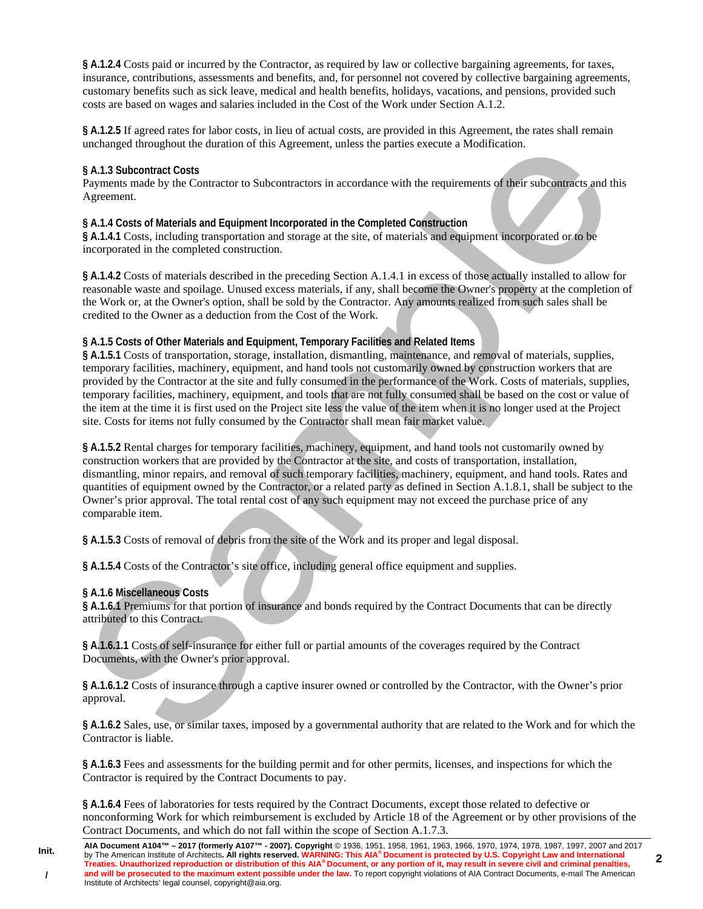**§ A.1.2.4** Costs paid or incurred by the Contractor, as required by law or collective bargaining agreements, for taxes, insurance, contributions, assessments and benefits, and, for personnel not covered by collective bargaining agreements, customary benefits such as sick leave, medical and health benefits, holidays, vacations, and pensions, provided such costs are based on wages and salaries included in the Cost of the Work under Section A.1.2.

**§ A.1.2.5** If agreed rates for labor costs, in lieu of actual costs, are provided in this Agreement, the rates shall remain unchanged throughout the duration of this Agreement, unless the parties execute a Modification.

### **§ A.1.3 Subcontract Costs**

Payments made by the Contractor to Subcontractors in accordance with the requirements of their subcontracts and this Agreement.

## **§ A.1.4 Costs of Materials and Equipment Incorporated in the Completed Construction**

**§ A.1.4.1** Costs, including transportation and storage at the site, of materials and equipment incorporated or to be incorporated in the completed construction.

**§ A.1.4.2** Costs of materials described in the preceding Section A.1.4.1 in excess of those actually installed to allow for reasonable waste and spoilage. Unused excess materials, if any, shall become the Owner's property at the completion of the Work or, at the Owner's option, shall be sold by the Contractor. Any amounts realized from such sales shall be credited to the Owner as a deduction from the Cost of the Work.

## **§ A.1.5 Costs of Other Materials and Equipment, Temporary Facilities and Related Items**

**§ A.1.5.1** Costs of transportation, storage, installation, dismantling, maintenance, and removal of materials, supplies, temporary facilities, machinery, equipment, and hand tools not customarily owned by construction workers that are provided by the Contractor at the site and fully consumed in the performance of the Work. Costs of materials, supplies, temporary facilities, machinery, equipment, and tools that are not fully consumed shall be based on the cost or value of the item at the time it is first used on the Project site less the value of the item when it is no longer used at the Project site. Costs for items not fully consumed by the Contractor shall mean fair market value.

**§ A.1.5.2** Rental charges for temporary facilities, machinery, equipment, and hand tools not customarily owned by construction workers that are provided by the Contractor at the site, and costs of transportation, installation, dismantling, minor repairs, and removal of such temporary facilities, machinery, equipment, and hand tools. Rates and quantities of equipment owned by the Contractor, or a related party as defined in Section A.1.8.1, shall be subject to the Owner's prior approval. The total rental cost of any such equipment may not exceed the purchase price of any comparable item.

**§ A.1.5.3** Costs of removal of debris from the site of the Work and its proper and legal disposal.

§ A.1.5.4 Costs of the Contractor's site office, including general office equipment and supplies.

#### **§ A.1.6 Miscellaneous Costs**

**Init.** 

**/** 

**§ A.1.6.1** Premiums for that portion of insurance and bonds required by the Contract Documents that can be directly attributed to this Contract.

**§ A.1.6.1.1** Costs of self-insurance for either full or partial amounts of the coverages required by the Contract Documents, with the Owner's prior approval.

**§ A.1.6.1.2** Costs of insurance through a captive insurer owned or controlled by the Contractor, with the Owner's prior approval.

**§ A.1.6.2** Sales, use, or similar taxes, imposed by a governmental authority that are related to the Work and for which the Contractor is liable.

**§ A.1.6.3** Fees and assessments for the building permit and for other permits, licenses, and inspections for which the Contractor is required by the Contract Documents to pay.

**§ A.1.6.4** Fees of laboratories for tests required by the Contract Documents, except those related to defective or nonconforming Work for which reimbursement is excluded by Article 18 of the Agreement or by other provisions of the Contract Documents, and which do not fall within the scope of Section A.1.7.3.

**2**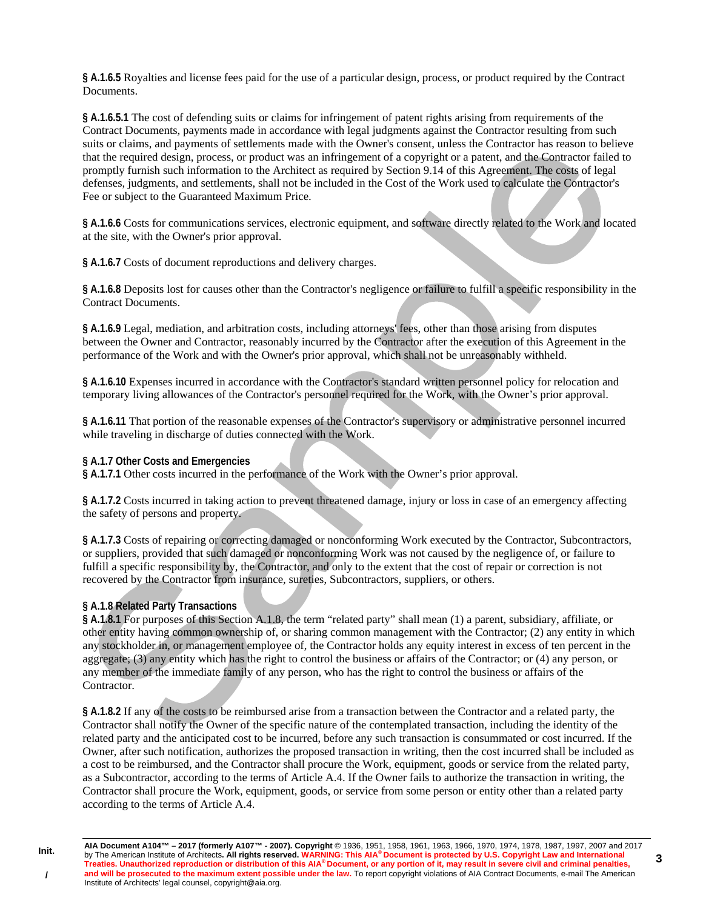**§ A.1.6.5** Royalties and license fees paid for the use of a particular design, process, or product required by the Contract Documents.

**§ A.1.6.5.1** The cost of defending suits or claims for infringement of patent rights arising from requirements of the Contract Documents, payments made in accordance with legal judgments against the Contractor resulting from such suits or claims, and payments of settlements made with the Owner's consent, unless the Contractor has reason to believe that the required design, process, or product was an infringement of a copyright or a patent, and the Contractor failed to promptly furnish such information to the Architect as required by Section 9.14 of this Agreement. The costs of legal defenses, judgments, and settlements, shall not be included in the Cost of the Work used to calculate the Contractor's Fee or subject to the Guaranteed Maximum Price.

**§ A.1.6.6** Costs for communications services, electronic equipment, and software directly related to the Work and located at the site, with the Owner's prior approval.

**§ A.1.6.7** Costs of document reproductions and delivery charges.

**§ A.1.6.8** Deposits lost for causes other than the Contractor's negligence or failure to fulfill a specific responsibility in the Contract Documents.

**§ A.1.6.9** Legal, mediation, and arbitration costs, including attorneys' fees, other than those arising from disputes between the Owner and Contractor, reasonably incurred by the Contractor after the execution of this Agreement in the performance of the Work and with the Owner's prior approval, which shall not be unreasonably withheld.

**§ A.1.6.10** Expenses incurred in accordance with the Contractor's standard written personnel policy for relocation and temporary living allowances of the Contractor's personnel required for the Work, with the Owner's prior approval.

**§ A.1.6.11** That portion of the reasonable expenses of the Contractor's supervisory or administrative personnel incurred while traveling in discharge of duties connected with the Work.

#### **§ A.1.7 Other Costs and Emergencies**

**§ A.1.7.1** Other costs incurred in the performance of the Work with the Owner's prior approval.

**§ A.1.7.2** Costs incurred in taking action to prevent threatened damage, injury or loss in case of an emergency affecting the safety of persons and property.

**§ A.1.7.3** Costs of repairing or correcting damaged or nonconforming Work executed by the Contractor, Subcontractors, or suppliers, provided that such damaged or nonconforming Work was not caused by the negligence of, or failure to fulfill a specific responsibility by, the Contractor, and only to the extent that the cost of repair or correction is not recovered by the Contractor from insurance, sureties, Subcontractors, suppliers, or others.

#### **§ A.1.8 Related Party Transactions**

**§ A.1.8.1** For purposes of this Section A.1.8, the term "related party" shall mean (1) a parent, subsidiary, affiliate, or other entity having common ownership of, or sharing common management with the Contractor; (2) any entity in which any stockholder in, or management employee of, the Contractor holds any equity interest in excess of ten percent in the aggregate; (3) any entity which has the right to control the business or affairs of the Contractor; or (4) any person, or any member of the immediate family of any person, who has the right to control the business or affairs of the Contractor.

**§ A.1.8.2** If any of the costs to be reimbursed arise from a transaction between the Contractor and a related party, the Contractor shall notify the Owner of the specific nature of the contemplated transaction, including the identity of the related party and the anticipated cost to be incurred, before any such transaction is consummated or cost incurred. If the Owner, after such notification, authorizes the proposed transaction in writing, then the cost incurred shall be included as a cost to be reimbursed, and the Contractor shall procure the Work, equipment, goods or service from the related party, as a Subcontractor, according to the terms of Article A.4. If the Owner fails to authorize the transaction in writing, the Contractor shall procure the Work, equipment, goods, or service from some person or entity other than a related party according to the terms of Article A.4.

**3**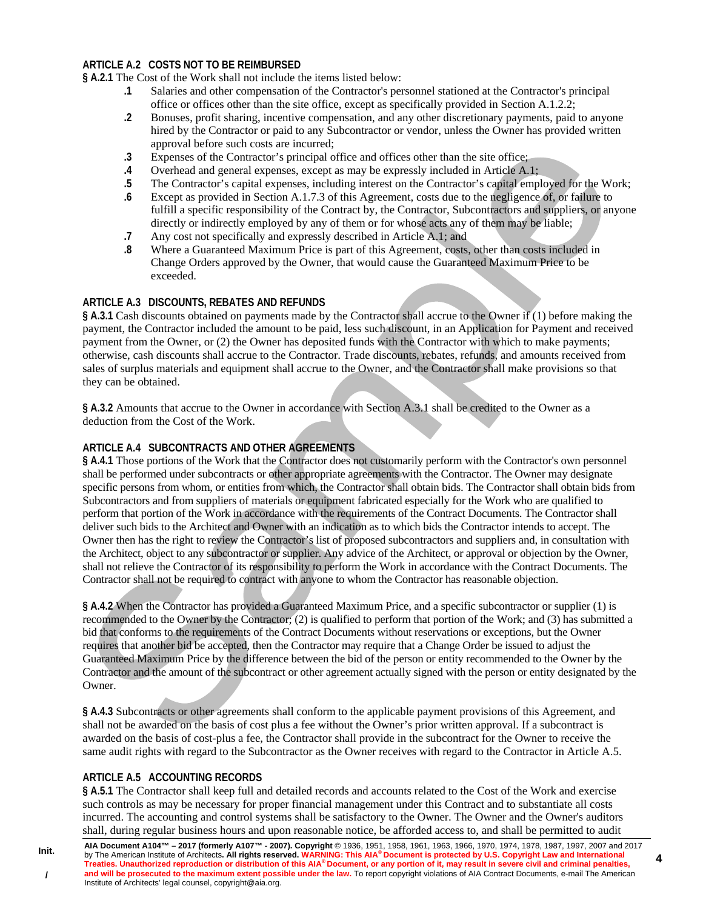## **ARTICLE A.2 COSTS NOT TO BE REIMBURSED**

**§ A.2.1** The Cost of the Work shall not include the items listed below:

- **.1** Salaries and other compensation of the Contractor's personnel stationed at the Contractor's principal office or offices other than the site office, except as specifically provided in Section A.1.2.2;
- **.2** Bonuses, profit sharing, incentive compensation, and any other discretionary payments, paid to anyone hired by the Contractor or paid to any Subcontractor or vendor, unless the Owner has provided written approval before such costs are incurred;
- **.3** Expenses of the Contractor's principal office and offices other than the site office;
- **.4** Overhead and general expenses, except as may be expressly included in Article A.1;
- **.5** The Contractor's capital expenses, including interest on the Contractor's capital employed for the Work;
- **.6** Except as provided in Section A.1.7.3 of this Agreement, costs due to the negligence of, or failure to fulfill a specific responsibility of the Contract by, the Contractor, Subcontractors and suppliers, or anyone directly or indirectly employed by any of them or for whose acts any of them may be liable;
- **.7** Any cost not specifically and expressly described in Article A.1; and
- **.8** Where a Guaranteed Maximum Price is part of this Agreement, costs, other than costs included in Change Orders approved by the Owner, that would cause the Guaranteed Maximum Price to be exceeded.

## **ARTICLE A.3 DISCOUNTS, REBATES AND REFUNDS**

**§ A.3.1** Cash discounts obtained on payments made by the Contractor shall accrue to the Owner if (1) before making the payment, the Contractor included the amount to be paid, less such discount, in an Application for Payment and received payment from the Owner, or (2) the Owner has deposited funds with the Contractor with which to make payments; otherwise, cash discounts shall accrue to the Contractor. Trade discounts, rebates, refunds, and amounts received from sales of surplus materials and equipment shall accrue to the Owner, and the Contractor shall make provisions so that they can be obtained.

**§ A.3.2** Amounts that accrue to the Owner in accordance with Section A.3.1 shall be credited to the Owner as a deduction from the Cost of the Work.

# **ARTICLE A.4 SUBCONTRACTS AND OTHER AGREEMENTS**

**§ A.4.1** Those portions of the Work that the Contractor does not customarily perform with the Contractor's own personnel shall be performed under subcontracts or other appropriate agreements with the Contractor. The Owner may designate specific persons from whom, or entities from which, the Contractor shall obtain bids. The Contractor shall obtain bids from Subcontractors and from suppliers of materials or equipment fabricated especially for the Work who are qualified to perform that portion of the Work in accordance with the requirements of the Contract Documents. The Contractor shall deliver such bids to the Architect and Owner with an indication as to which bids the Contractor intends to accept. The Owner then has the right to review the Contractor's list of proposed subcontractors and suppliers and, in consultation with the Architect, object to any subcontractor or supplier. Any advice of the Architect, or approval or objection by the Owner, shall not relieve the Contractor of its responsibility to perform the Work in accordance with the Contract Documents. The Contractor shall not be required to contract with anyone to whom the Contractor has reasonable objection.

**§ A.4.2** When the Contractor has provided a Guaranteed Maximum Price, and a specific subcontractor or supplier (1) is recommended to the Owner by the Contractor; (2) is qualified to perform that portion of the Work; and (3) has submitted a bid that conforms to the requirements of the Contract Documents without reservations or exceptions, but the Owner requires that another bid be accepted, then the Contractor may require that a Change Order be issued to adjust the Guaranteed Maximum Price by the difference between the bid of the person or entity recommended to the Owner by the Contractor and the amount of the subcontract or other agreement actually signed with the person or entity designated by the Owner.

**§ A.4.3** Subcontracts or other agreements shall conform to the applicable payment provisions of this Agreement, and shall not be awarded on the basis of cost plus a fee without the Owner's prior written approval. If a subcontract is awarded on the basis of cost-plus a fee, the Contractor shall provide in the subcontract for the Owner to receive the same audit rights with regard to the Subcontractor as the Owner receives with regard to the Contractor in Article A.5.

# **ARTICLE A.5 ACCOUNTING RECORDS**

**§ A.5.1** The Contractor shall keep full and detailed records and accounts related to the Cost of the Work and exercise such controls as may be necessary for proper financial management under this Contract and to substantiate all costs incurred. The accounting and control systems shall be satisfactory to the Owner. The Owner and the Owner's auditors shall, during regular business hours and upon reasonable notice, be afforded access to, and shall be permitted to audit

**4** 

**Init.**